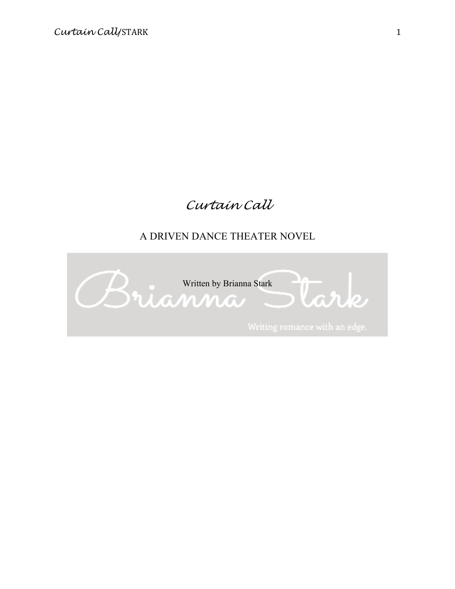# *Curtain Call*

# A DRIVEN DANCE THEATER NOVEL

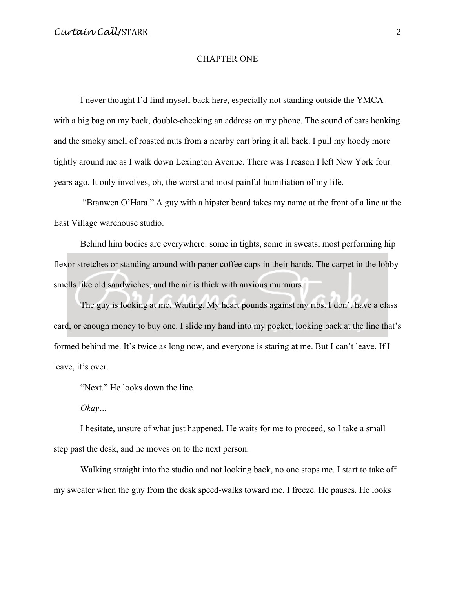#### CHAPTER ONE

I never thought I'd find myself back here, especially not standing outside the YMCA with a big bag on my back, double-checking an address on my phone. The sound of cars honking and the smoky smell of roasted nuts from a nearby cart bring it all back. I pull my hoody more tightly around me as I walk down Lexington Avenue. There was I reason I left New York four years ago. It only involves, oh, the worst and most painful humiliation of my life.

"Branwen O'Hara." A guy with a hipster beard takes my name at the front of a line at the East Village warehouse studio.

Behind him bodies are everywhere: some in tights, some in sweats, most performing hip flexor stretches or standing around with paper coffee cups in their hands. The carpet in the lobby smells like old sandwiches, and the air is thick with anxious murmurs.

The guy is looking at me. Waiting. My heart pounds against my ribs. I don't have a class card, or enough money to buy one. I slide my hand into my pocket, looking back at the line that's formed behind me. It's twice as long now, and everyone is staring at me. But I can't leave. If I leave, it's over.

"Next." He looks down the line.

*Okay…*

I hesitate, unsure of what just happened. He waits for me to proceed, so I take a small step past the desk, and he moves on to the next person.

Walking straight into the studio and not looking back, no one stops me. I start to take off my sweater when the guy from the desk speed-walks toward me. I freeze. He pauses. He looks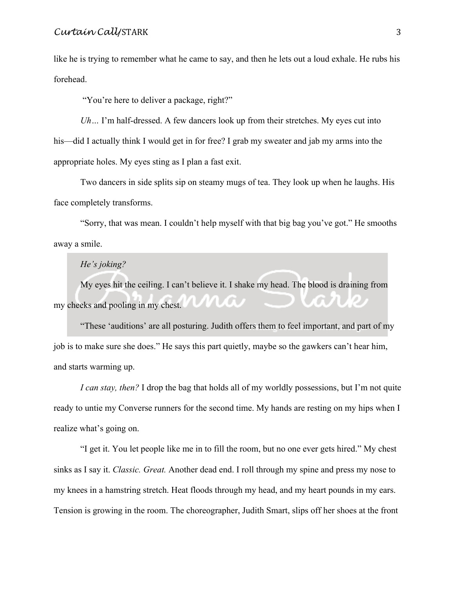like he is trying to remember what he came to say, and then he lets out a loud exhale. He rubs his forehead.

"You're here to deliver a package, right?"

*Uh…* I'm half-dressed. A few dancers look up from their stretches. My eyes cut into his—did I actually think I would get in for free? I grab my sweater and jab my arms into the appropriate holes. My eyes sting as I plan a fast exit.

Two dancers in side splits sip on steamy mugs of tea. They look up when he laughs. His face completely transforms.

"Sorry, that was mean. I couldn't help myself with that big bag you've got." He smooths away a smile.

#### *He's joking?*

My eyes hit the ceiling. I can't believe it. I shake my head. The blood is draining from my cheeks and pooling in my chest.

"These 'auditions' are all posturing. Judith offers them to feel important, and part of my job is to make sure she does." He says this part quietly, maybe so the gawkers can't hear him, and starts warming up.

*I can stay, then?* I drop the bag that holds all of my worldly possessions, but I'm not quite ready to untie my Converse runners for the second time. My hands are resting on my hips when I realize what's going on.

"I get it. You let people like me in to fill the room, but no one ever gets hired." My chest sinks as I say it. *Classic. Great.* Another dead end. I roll through my spine and press my nose to my knees in a hamstring stretch. Heat floods through my head, and my heart pounds in my ears. Tension is growing in the room. The choreographer, Judith Smart, slips off her shoes at the front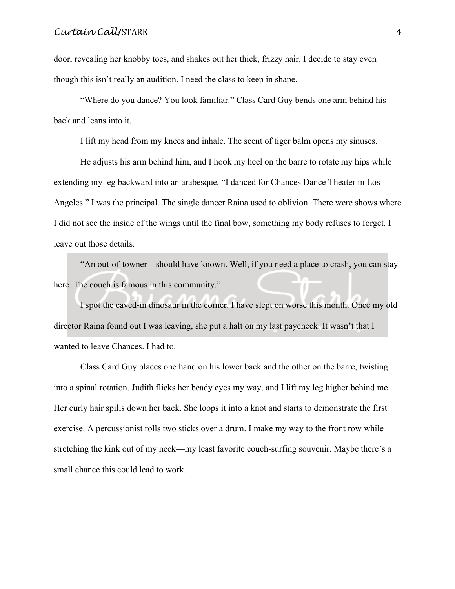door, revealing her knobby toes, and shakes out her thick, frizzy hair. I decide to stay even though this isn't really an audition. I need the class to keep in shape.

"Where do you dance? You look familiar." Class Card Guy bends one arm behind his back and leans into it.

I lift my head from my knees and inhale. The scent of tiger balm opens my sinuses.

He adjusts his arm behind him, and I hook my heel on the barre to rotate my hips while extending my leg backward into an arabesque*.* "I danced for Chances Dance Theater in Los Angeles." I was the principal. The single dancer Raina used to oblivion. There were shows where I did not see the inside of the wings until the final bow, something my body refuses to forget. I leave out those details.

"An out-of-towner—should have known. Well, if you need a place to crash, you can stay here. The couch is famous in this community."

I spot the caved-in dinosaur in the corner. I have slept on worse this month. Once my old director Raina found out I was leaving, she put a halt on my last paycheck. It wasn't that I wanted to leave Chances. I had to.

Class Card Guy places one hand on his lower back and the other on the barre, twisting into a spinal rotation. Judith flicks her beady eyes my way, and I lift my leg higher behind me. Her curly hair spills down her back. She loops it into a knot and starts to demonstrate the first exercise. A percussionist rolls two sticks over a drum. I make my way to the front row while stretching the kink out of my neck—my least favorite couch-surfing souvenir. Maybe there's a small chance this could lead to work.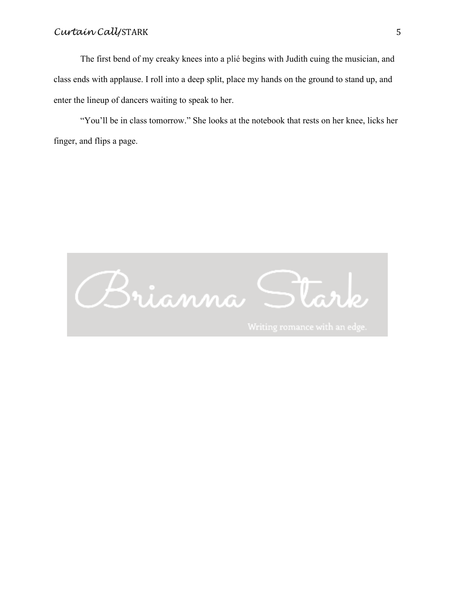The first bend of my creaky knees into a plié begins with Judith cuing the musician, and class ends with applause. I roll into a deep split, place my hands on the ground to stand up, and enter the lineup of dancers waiting to speak to her.

"You'll be in class tomorrow." She looks at the notebook that rests on her knee, licks her finger, and flips a page.

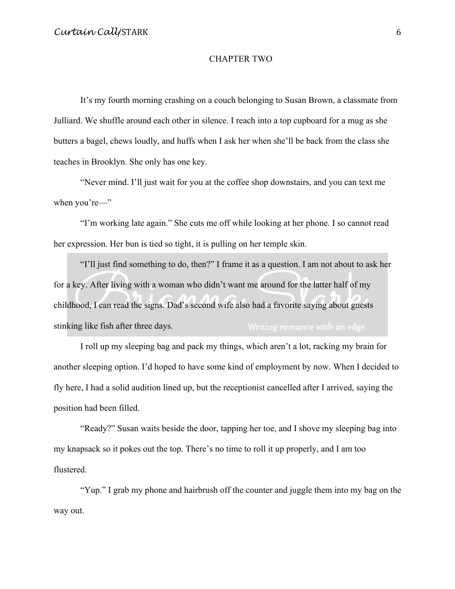#### CHAPTER TWO

It's my fourth morning crashing on a couch belonging to Susan Brown, a classmate from Julliard. We shuffle around each other in silence. I reach into a top cupboard for a mug as she butters a bagel, chews loudly, and huffs when I ask her when she'll be back from the class she teaches in Brooklyn. She only has one key.

"Never mind. I'll just wait for you at the coffee shop downstairs, and you can text me when you're—"

"I'm working late again." She cuts me off while looking at her phone. I so cannot read her expression. Her bun is tied so tight, it is pulling on her temple skin.

"I'll just find something to do, then?" I frame it as a question. I am not about to ask her for a key. After living with a woman who didn't want me around for the latter half of my childhood, I can read the signs. Dad's second wife also had a favorite saying about guests stinking like fish after three days.

I roll up my sleeping bag and pack my things, which aren't a lot, racking my brain for another sleeping option. I'd hoped to have some kind of employment by now. When I decided to fly here, I had a solid audition lined up, but the receptionist cancelled after I arrived, saying the position had been filled.

"Ready?" Susan waits beside the door, tapping her toe, and I shove my sleeping bag into my knapsack so it pokes out the top. There's no time to roll it up properly, and I am too flustered.

"Yup." I grab my phone and hairbrush off the counter and juggle them into my bag on the way out.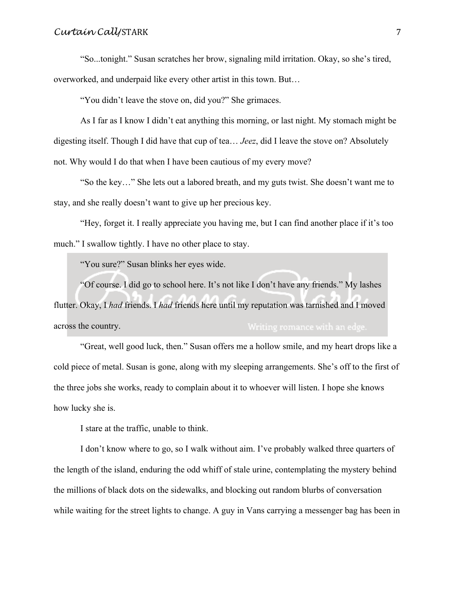"So...tonight." Susan scratches her brow, signaling mild irritation. Okay, so she's tired, overworked, and underpaid like every other artist in this town. But…

"You didn't leave the stove on, did you?" She grimaces.

As I far as I know I didn't eat anything this morning, or last night. My stomach might be digesting itself. Though I did have that cup of tea… *Jeez*, did I leave the stove on? Absolutely not. Why would I do that when I have been cautious of my every move?

"So the key…" She lets out a labored breath, and my guts twist. She doesn't want me to stay, and she really doesn't want to give up her precious key.

"Hey, forget it. I really appreciate you having me, but I can find another place if it's too much." I swallow tightly. I have no other place to stay.

"You sure?" Susan blinks her eyes wide.

"Of course. I did go to school here. It's not like I don't have any friends." My lashes flutter. Okay, I *had* friends. I *had* friends here until my reputation was tarnished and I moved across the country.

"Great, well good luck, then." Susan offers me a hollow smile, and my heart drops like a cold piece of metal. Susan is gone, along with my sleeping arrangements. She's off to the first of the three jobs she works, ready to complain about it to whoever will listen. I hope she knows how lucky she is.

I stare at the traffic, unable to think.

I don't know where to go, so I walk without aim. I've probably walked three quarters of the length of the island, enduring the odd whiff of stale urine, contemplating the mystery behind the millions of black dots on the sidewalks, and blocking out random blurbs of conversation while waiting for the street lights to change. A guy in Vans carrying a messenger bag has been in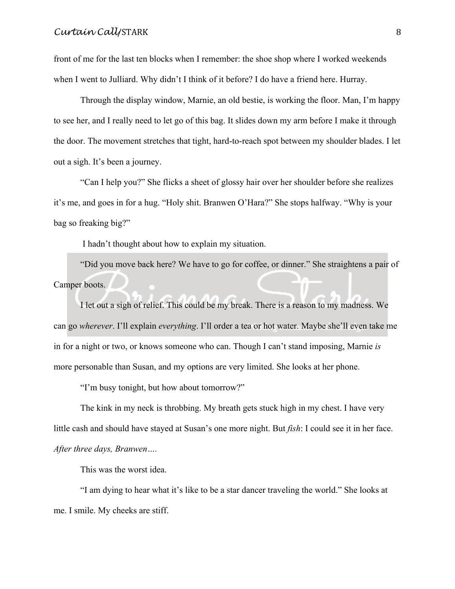front of me for the last ten blocks when I remember: the shoe shop where I worked weekends when I went to Julliard. Why didn't I think of it before? I do have a friend here. Hurray.

Through the display window, Marnie, an old bestie, is working the floor. Man, I'm happy to see her, and I really need to let go of this bag. It slides down my arm before I make it through the door. The movement stretches that tight, hard-to-reach spot between my shoulder blades. I let out a sigh. It's been a journey.

"Can I help you?" She flicks a sheet of glossy hair over her shoulder before she realizes it's me, and goes in for a hug. "Holy shit. Branwen O'Hara?" She stops halfway. "Why is your bag so freaking big?"

I hadn't thought about how to explain my situation.

"Did you move back here? We have to go for coffee, or dinner." She straightens a pair of Camper boots.

I let out a sigh of relief. This could be my break. There is a reason to my madness. We can go *wherever*. I'll explain *everything*. I'll order a tea or hot water. Maybe she'll even take me in for a night or two, or knows someone who can. Though I can't stand imposing, Marnie *is* more personable than Susan, and my options are very limited. She looks at her phone.

"I'm busy tonight, but how about tomorrow?"

The kink in my neck is throbbing. My breath gets stuck high in my chest. I have very little cash and should have stayed at Susan's one more night. But *fish*: I could see it in her face. *After three days, Branwen….*

This was the worst idea.

"I am dying to hear what it's like to be a star dancer traveling the world." She looks at me. I smile. My cheeks are stiff.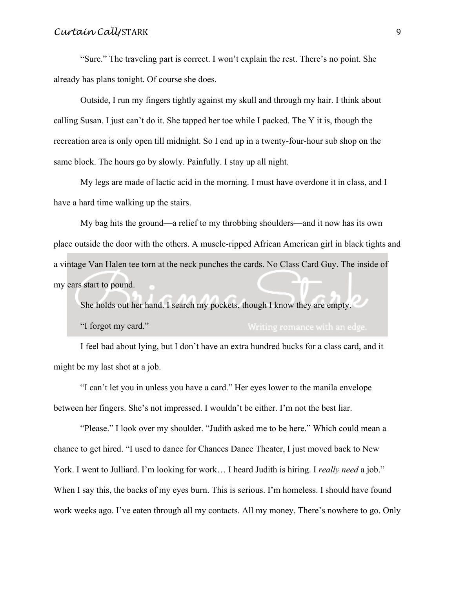"Sure." The traveling part is correct. I won't explain the rest. There's no point. She already has plans tonight. Of course she does.

Outside, I run my fingers tightly against my skull and through my hair. I think about calling Susan. I just can't do it. She tapped her toe while I packed. The Y it is, though the recreation area is only open till midnight. So I end up in a twenty-four-hour sub shop on the same block. The hours go by slowly. Painfully. I stay up all night.

My legs are made of lactic acid in the morning. I must have overdone it in class, and I have a hard time walking up the stairs.

My bag hits the ground—a relief to my throbbing shoulders—and it now has its own place outside the door with the others. A muscle-ripped African American girl in black tights and a vintage Van Halen tee torn at the neck punches the cards. No Class Card Guy. The inside of my ears start to pound.

She holds out her hand. I search my pockets, though I know they are empty.

"I forgot my card."

I feel bad about lying, but I don't have an extra hundred bucks for a class card, and it might be my last shot at a job.

"I can't let you in unless you have a card." Her eyes lower to the manila envelope between her fingers. She's not impressed. I wouldn't be either. I'm not the best liar.

"Please." I look over my shoulder. "Judith asked me to be here." Which could mean a chance to get hired. "I used to dance for Chances Dance Theater, I just moved back to New York. I went to Julliard. I'm looking for work… I heard Judith is hiring. I *really need* a job." When I say this, the backs of my eyes burn. This is serious. I'm homeless. I should have found work weeks ago. I've eaten through all my contacts. All my money. There's nowhere to go. Only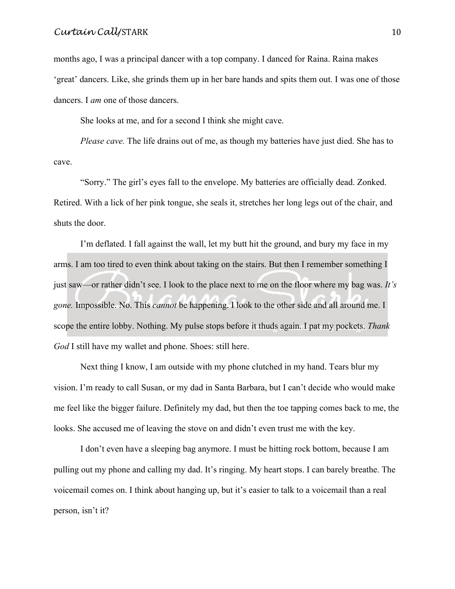months ago, I was a principal dancer with a top company. I danced for Raina. Raina makes 'great' dancers. Like, she grinds them up in her bare hands and spits them out. I was one of those dancers. I *am* one of those dancers.

She looks at me, and for a second I think she might cave.

*Please cave.* The life drains out of me, as though my batteries have just died. She has to cave.

"Sorry." The girl's eyes fall to the envelope. My batteries are officially dead. Zonked. Retired. With a lick of her pink tongue, she seals it, stretches her long legs out of the chair, and shuts the door.

I'm deflated. I fall against the wall, let my butt hit the ground, and bury my face in my arms. I am too tired to even think about taking on the stairs. But then I remember something I just saw—or rather didn't see. I look to the place next to me on the floor where my bag was. *It's gone.* Impossible. No. This *cannot* be happening. I look to the other side and all around me. I scope the entire lobby. Nothing. My pulse stops before it thuds again. I pat my pockets. *Thank God* I still have my wallet and phone. Shoes: still here.

Next thing I know, I am outside with my phone clutched in my hand. Tears blur my vision. I'm ready to call Susan, or my dad in Santa Barbara, but I can't decide who would make me feel like the bigger failure. Definitely my dad, but then the toe tapping comes back to me, the looks. She accused me of leaving the stove on and didn't even trust me with the key.

I don't even have a sleeping bag anymore. I must be hitting rock bottom, because I am pulling out my phone and calling my dad. It's ringing. My heart stops. I can barely breathe. The voicemail comes on. I think about hanging up, but it's easier to talk to a voicemail than a real person, isn't it?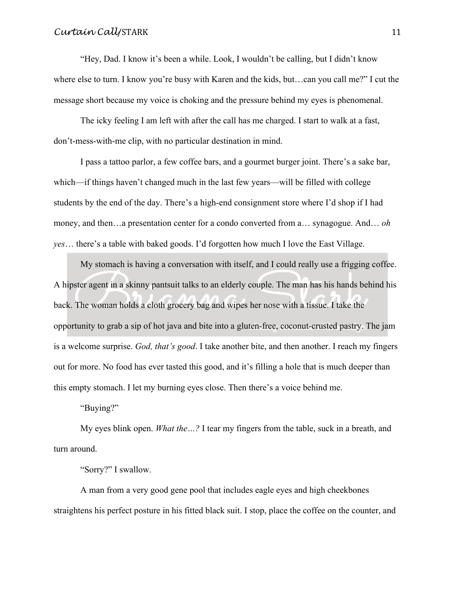"Hey, Dad. I know it's been a while. Look, I wouldn't be calling, but I didn't know where else to turn. I know you're busy with Karen and the kids, but...can you call me?" I cut the message short because my voice is choking and the pressure behind my eyes is phenomenal.

The icky feeling I am left with after the call has me charged. I start to walk at a fast, don't-mess-with-me clip, with no particular destination in mind.

I pass a tattoo parlor, a few coffee bars, and a gourmet burger joint. There's a sake bar, which—if things haven't changed much in the last few years—will be filled with college students by the end of the day. There's a high-end consignment store where I'd shop if I had money, and then…a presentation center for a condo converted from a… synagogue. And… *oh yes*… there's a table with baked goods. I'd forgotten how much I love the East Village.

My stomach is having a conversation with itself, and I could really use a frigging coffee. A hipster agent in a skinny pantsuit talks to an elderly couple. The man has his hands behind his back. The woman holds a cloth grocery bag and wipes her nose with a tissue. I take the opportunity to grab a sip of hot java and bite into a gluten-free, coconut-crusted pastry. The jam is a welcome surprise. *God, that's good*. I take another bite, and then another. I reach my fingers out for more. No food has ever tasted this good, and it's filling a hole that is much deeper than this empty stomach. I let my burning eyes close. Then there's a voice behind me.

"Buying?"

My eyes blink open. *What the…?* I tear my fingers from the table, suck in a breath, and turn around.

"Sorry?" I swallow.

A man from a very good gene pool that includes eagle eyes and high cheekbones straightens his perfect posture in his fitted black suit. I stop, place the coffee on the counter, and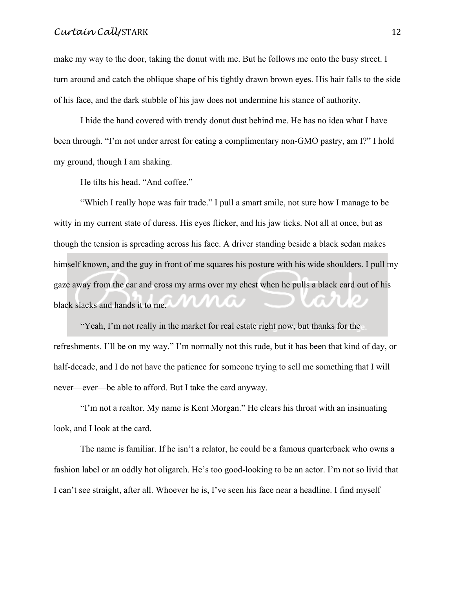make my way to the door, taking the donut with me. But he follows me onto the busy street. I turn around and catch the oblique shape of his tightly drawn brown eyes. His hair falls to the side of his face, and the dark stubble of his jaw does not undermine his stance of authority.

I hide the hand covered with trendy donut dust behind me. He has no idea what I have been through. "I'm not under arrest for eating a complimentary non-GMO pastry, am I?" I hold my ground, though I am shaking.

He tilts his head. "And coffee."

"Which I really hope was fair trade." I pull a smart smile, not sure how I manage to be witty in my current state of duress. His eyes flicker, and his jaw ticks. Not all at once, but as though the tension is spreading across his face. A driver standing beside a black sedan makes himself known, and the guy in front of me squares his posture with his wide shoulders. I pull my gaze away from the car and cross my arms over my chest when he pulls a black card out of his black slacks and hands it to me.

"Yeah, I'm not really in the market for real estate right now, but thanks for the refreshments. I'll be on my way." I'm normally not this rude, but it has been that kind of day, or half-decade, and I do not have the patience for someone trying to sell me something that I will never—ever—be able to afford. But I take the card anyway.

"I'm not a realtor. My name is Kent Morgan." He clears his throat with an insinuating look, and I look at the card.

The name is familiar. If he isn't a relator, he could be a famous quarterback who owns a fashion label or an oddly hot oligarch. He's too good-looking to be an actor. I'm not so livid that I can't see straight, after all. Whoever he is, I've seen his face near a headline. I find myself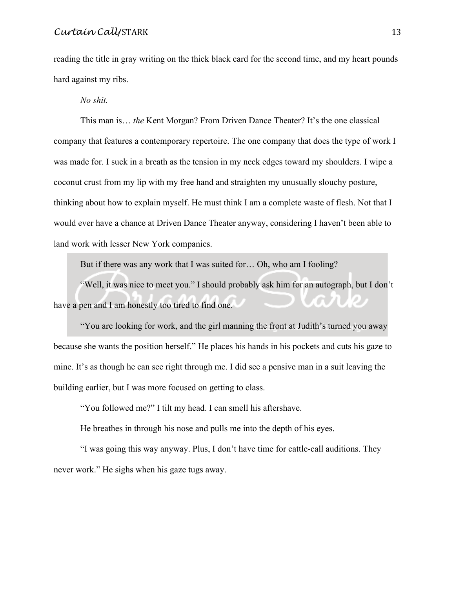reading the title in gray writing on the thick black card for the second time, and my heart pounds hard against my ribs.

*No shit.*

This man is… *the* Kent Morgan? From Driven Dance Theater? It's the one classical company that features a contemporary repertoire. The one company that does the type of work I was made for. I suck in a breath as the tension in my neck edges toward my shoulders. I wipe a coconut crust from my lip with my free hand and straighten my unusually slouchy posture, thinking about how to explain myself. He must think I am a complete waste of flesh. Not that I would ever have a chance at Driven Dance Theater anyway, considering I haven't been able to land work with lesser New York companies.

But if there was any work that I was suited for… Oh, who am I fooling?

"Well, it was nice to meet you." I should probably ask him for an autograph, but I don't have a pen and I am honestly too tired to find one.

"You are looking for work, and the girl manning the front at Judith's turned you away because she wants the position herself." He places his hands in his pockets and cuts his gaze to mine. It's as though he can see right through me. I did see a pensive man in a suit leaving the building earlier, but I was more focused on getting to class.

"You followed me?" I tilt my head. I can smell his aftershave.

He breathes in through his nose and pulls me into the depth of his eyes.

"I was going this way anyway. Plus, I don't have time for cattle-call auditions. They never work." He sighs when his gaze tugs away.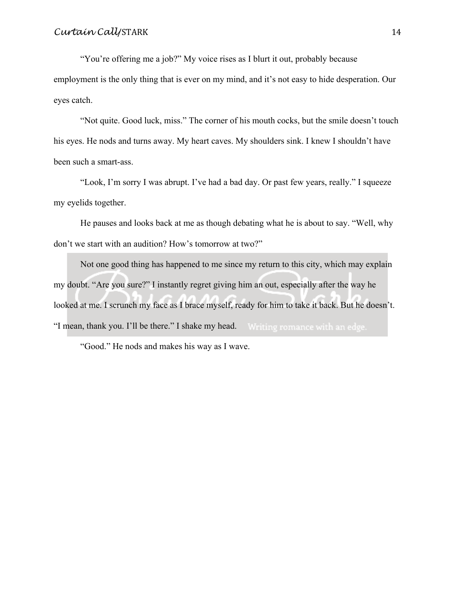"You're offering me a job?" My voice rises as I blurt it out, probably because employment is the only thing that is ever on my mind, and it's not easy to hide desperation. Our eyes catch.

"Not quite. Good luck, miss." The corner of his mouth cocks, but the smile doesn't touch his eyes. He nods and turns away. My heart caves. My shoulders sink. I knew I shouldn't have been such a smart-ass.

"Look, I'm sorry I was abrupt. I've had a bad day. Or past few years, really." I squeeze my eyelids together.

He pauses and looks back at me as though debating what he is about to say. "Well, why don't we start with an audition? How's tomorrow at two?"

Not one good thing has happened to me since my return to this city, which may explain my doubt. "Are you sure?" I instantly regret giving him an out, especially after the way he looked at me. I scrunch my face as I brace myself, ready for him to take it back. But he doesn't. "I mean, thank you. I'll be there." I shake my head. Writing romance with an edge.

"Good." He nods and makes his way as I wave.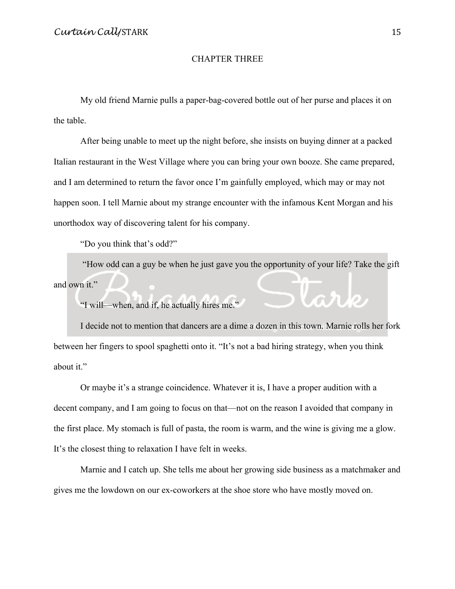#### CHAPTER THREE

My old friend Marnie pulls a paper-bag-covered bottle out of her purse and places it on the table.

After being unable to meet up the night before, she insists on buying dinner at a packed Italian restaurant in the West Village where you can bring your own booze. She came prepared, and I am determined to return the favor once I'm gainfully employed, which may or may not happen soon. I tell Marnie about my strange encounter with the infamous Kent Morgan and his unorthodox way of discovering talent for his company.

"Do you think that's odd?"

"How odd can a guy be when he just gave you the opportunity of your life? Take the gift and own it." tark

"I will—when, and if, he actually hires me."

I decide not to mention that dancers are a dime a dozen in this town. Marnie rolls her fork between her fingers to spool spaghetti onto it. "It's not a bad hiring strategy, when you think about it."

Or maybe it's a strange coincidence. Whatever it is, I have a proper audition with a decent company, and I am going to focus on that—not on the reason I avoided that company in the first place. My stomach is full of pasta, the room is warm, and the wine is giving me a glow. It's the closest thing to relaxation I have felt in weeks.

Marnie and I catch up. She tells me about her growing side business as a matchmaker and gives me the lowdown on our ex-coworkers at the shoe store who have mostly moved on.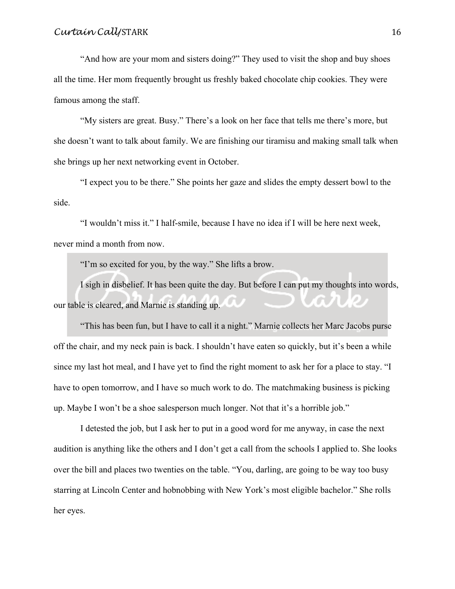"And how are your mom and sisters doing?" They used to visit the shop and buy shoes all the time. Her mom frequently brought us freshly baked chocolate chip cookies. They were famous among the staff.

"My sisters are great. Busy." There's a look on her face that tells me there's more, but she doesn't want to talk about family. We are finishing our tiramisu and making small talk when she brings up her next networking event in October.

"I expect you to be there." She points her gaze and slides the empty dessert bowl to the side.

"I wouldn't miss it." I half-smile, because I have no idea if I will be here next week, never mind a month from now.

"I'm so excited for you, by the way." She lifts a brow.

I sigh in disbelief. It has been quite the day. But before I can put my thoughts into words, our table is cleared, and Marnie is standing up.

"This has been fun, but I have to call it a night." Marnie collects her Marc Jacobs purse off the chair, and my neck pain is back. I shouldn't have eaten so quickly, but it's been a while since my last hot meal, and I have yet to find the right moment to ask her for a place to stay. "I have to open tomorrow, and I have so much work to do. The matchmaking business is picking up. Maybe I won't be a shoe salesperson much longer. Not that it's a horrible job."

I detested the job, but I ask her to put in a good word for me anyway, in case the next audition is anything like the others and I don't get a call from the schools I applied to. She looks over the bill and places two twenties on the table. "You, darling, are going to be way too busy starring at Lincoln Center and hobnobbing with New York's most eligible bachelor." She rolls her eyes.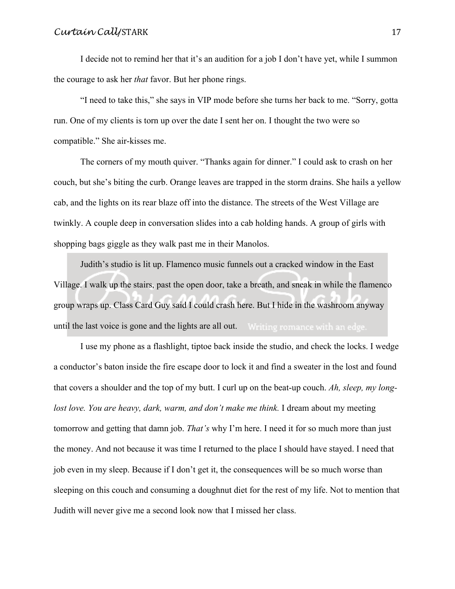I decide not to remind her that it's an audition for a job I don't have yet, while I summon the courage to ask her *that* favor. But her phone rings.

"I need to take this," she says in VIP mode before she turns her back to me. "Sorry, gotta run. One of my clients is torn up over the date I sent her on. I thought the two were so compatible." She air-kisses me.

The corners of my mouth quiver. "Thanks again for dinner." I could ask to crash on her couch, but she's biting the curb. Orange leaves are trapped in the storm drains. She hails a yellow cab, and the lights on its rear blaze off into the distance. The streets of the West Village are twinkly. A couple deep in conversation slides into a cab holding hands. A group of girls with shopping bags giggle as they walk past me in their Manolos.

Judith's studio is lit up. Flamenco music funnels out a cracked window in the East Village. I walk up the stairs, past the open door, take a breath, and sneak in while the flamenco group wraps up. Class Card Guy said I could crash here. But I hide in the washroom anyway until the last voice is gone and the lights are all out. Writing romance with an edge.

I use my phone as a flashlight, tiptoe back inside the studio, and check the locks. I wedge a conductor's baton inside the fire escape door to lock it and find a sweater in the lost and found that covers a shoulder and the top of my butt. I curl up on the beat-up couch. *Ah, sleep, my longlost love. You are heavy, dark, warm, and don't make me think.* I dream about my meeting tomorrow and getting that damn job. *That's* why I'm here. I need it for so much more than just the money. And not because it was time I returned to the place I should have stayed. I need that job even in my sleep. Because if I don't get it, the consequences will be so much worse than sleeping on this couch and consuming a doughnut diet for the rest of my life. Not to mention that Judith will never give me a second look now that I missed her class.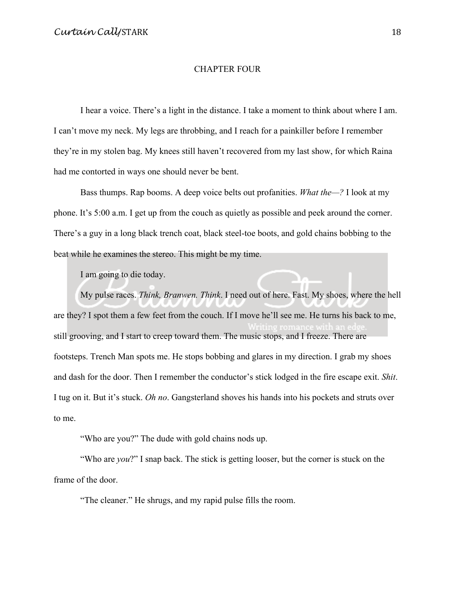#### CHAPTER FOUR

I hear a voice. There's a light in the distance. I take a moment to think about where I am. I can't move my neck. My legs are throbbing, and I reach for a painkiller before I remember they're in my stolen bag. My knees still haven't recovered from my last show, for which Raina had me contorted in ways one should never be bent.

Bass thumps. Rap booms. A deep voice belts out profanities. *What the—?* I look at my phone. It's 5:00 a.m. I get up from the couch as quietly as possible and peek around the corner. There's a guy in a long black trench coat, black steel-toe boots, and gold chains bobbing to the beat while he examines the stereo. This might be my time.

I am going to die today.

My pulse races. *Think, Branwen. Think*. I need out of here. Fast. My shoes, where the hell are they? I spot them a few feet from the couch. If I move he'll see me. He turns his back to me, still grooving, and I start to creep toward them. The music stops, and I freeze. There are footsteps. Trench Man spots me. He stops bobbing and glares in my direction. I grab my shoes and dash for the door. Then I remember the conductor's stick lodged in the fire escape exit. *Shit*. I tug on it. But it's stuck. *Oh no*. Gangsterland shoves his hands into his pockets and struts over to me.

"Who are you?" The dude with gold chains nods up.

"Who are *you*?" I snap back. The stick is getting looser, but the corner is stuck on the frame of the door.

"The cleaner." He shrugs, and my rapid pulse fills the room.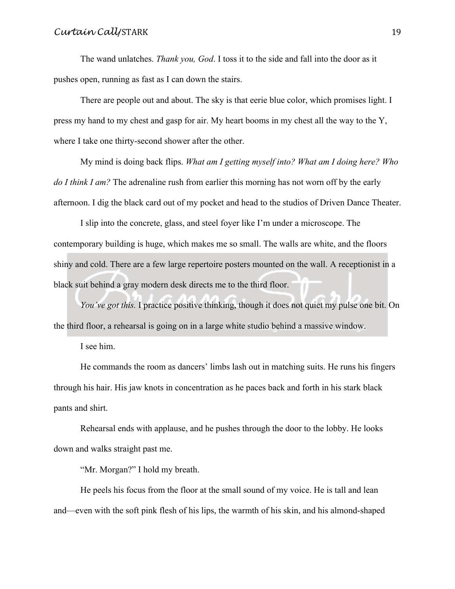The wand unlatches. *Thank you, God*. I toss it to the side and fall into the door as it pushes open, running as fast as I can down the stairs.

There are people out and about. The sky is that eerie blue color, which promises light. I press my hand to my chest and gasp for air. My heart booms in my chest all the way to the Y, where I take one thirty-second shower after the other.

My mind is doing back flips. *What am I getting myself into? What am I doing here? Who do I think I am?* The adrenaline rush from earlier this morning has not worn off by the early afternoon. I dig the black card out of my pocket and head to the studios of Driven Dance Theater.

I slip into the concrete, glass, and steel foyer like I'm under a microscope. The contemporary building is huge, which makes me so small. The walls are white, and the floors shiny and cold. There are a few large repertoire posters mounted on the wall. A receptionist in a black suit behind a gray modern desk directs me to the third floor.

*You've got this.* I practice positive thinking, though it does not quiet my pulse one bit. On the third floor, a rehearsal is going on in a large white studio behind a massive window.

I see him.

He commands the room as dancers' limbs lash out in matching suits. He runs his fingers through his hair. His jaw knots in concentration as he paces back and forth in his stark black pants and shirt.

Rehearsal ends with applause, and he pushes through the door to the lobby. He looks down and walks straight past me.

"Mr. Morgan?" I hold my breath.

He peels his focus from the floor at the small sound of my voice. He is tall and lean and—even with the soft pink flesh of his lips, the warmth of his skin, and his almond-shaped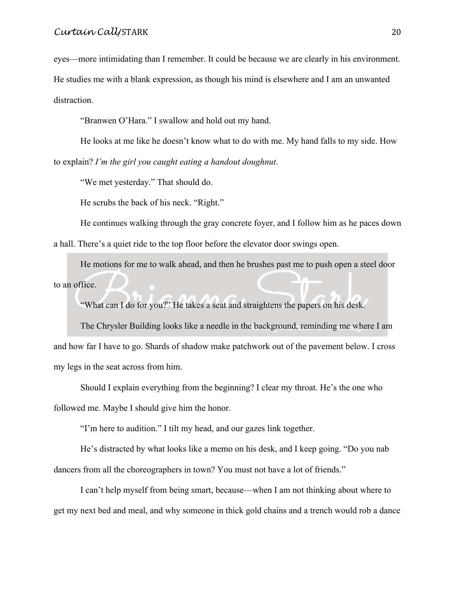eyes—more intimidating than I remember. It could be because we are clearly in his environment. He studies me with a blank expression, as though his mind is elsewhere and I am an unwanted distraction.

"Branwen O'Hara." I swallow and hold out my hand.

He looks at me like he doesn't know what to do with me. My hand falls to my side. How to explain? *I'm the girl you caught eating a handout doughnut*.

"We met yesterday." That should do.

He scrubs the back of his neck. "Right."

He continues walking through the gray concrete foyer, and I follow him as he paces down a hall. There's a quiet ride to the top floor before the elevator door swings open.

He motions for me to walk ahead, and then he brushes past me to push open a steel door to an office.

"What can I do for you?" He takes a seat and straightens the papers on his desk.

The Chrysler Building looks like a needle in the background, reminding me where I am and how far I have to go. Shards of shadow make patchwork out of the pavement below. I cross my legs in the seat across from him.

Should I explain everything from the beginning? I clear my throat. He's the one who followed me. Maybe I should give him the honor.

"I'm here to audition." I tilt my head, and our gazes link together.

He's distracted by what looks like a memo on his desk, and I keep going. "Do you nab dancers from all the choreographers in town? You must not have a lot of friends."

I can't help myself from being smart, because—when I am not thinking about where to get my next bed and meal, and why someone in thick gold chains and a trench would rob a dance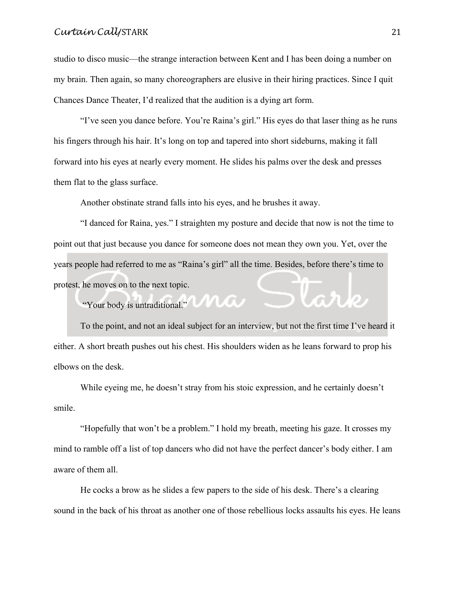studio to disco music—the strange interaction between Kent and I has been doing a number on my brain. Then again, so many choreographers are elusive in their hiring practices. Since I quit Chances Dance Theater, I'd realized that the audition is a dying art form.

"I've seen you dance before. You're Raina's girl." His eyes do that laser thing as he runs his fingers through his hair. It's long on top and tapered into short sideburns, making it fall forward into his eyes at nearly every moment. He slides his palms over the desk and presses them flat to the glass surface.

Another obstinate strand falls into his eyes, and he brushes it away.

"I danced for Raina, yes." I straighten my posture and decide that now is not the time to point out that just because you dance for someone does not mean they own you. Yet, over the years people had referred to me as "Raina's girl" all the time. Besides, before there's time to protest, he moves on to the next topic. lark

"Your body is untraditional."

To the point, and not an ideal subject for an interview, but not the first time I've heard it either. A short breath pushes out his chest. His shoulders widen as he leans forward to prop his elbows on the desk.

While eyeing me, he doesn't stray from his stoic expression, and he certainly doesn't smile.

"Hopefully that won't be a problem." I hold my breath, meeting his gaze. It crosses my mind to ramble off a list of top dancers who did not have the perfect dancer's body either. I am aware of them all.

He cocks a brow as he slides a few papers to the side of his desk. There's a clearing sound in the back of his throat as another one of those rebellious locks assaults his eyes. He leans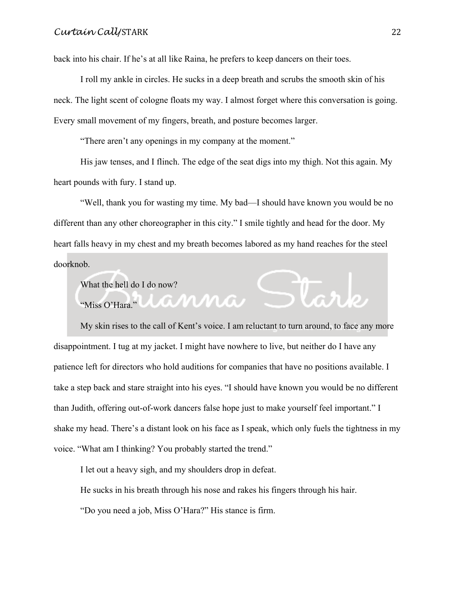back into his chair. If he's at all like Raina, he prefers to keep dancers on their toes.

I roll my ankle in circles. He sucks in a deep breath and scrubs the smooth skin of his neck. The light scent of cologne floats my way. I almost forget where this conversation is going. Every small movement of my fingers, breath, and posture becomes larger.

"There aren't any openings in my company at the moment."

His jaw tenses, and I flinch. The edge of the seat digs into my thigh. Not this again. My heart pounds with fury. I stand up.

"Well, thank you for wasting my time. My bad—I should have known you would be no different than any other choreographer in this city." I smile tightly and head for the door. My heart falls heavy in my chest and my breath becomes labored as my hand reaches for the steel doorknob.

What the hell do I do now?

"Miss O'Hara."

My skin rises to the call of Kent's voice. I am reluctant to turn around, to face any more disappointment. I tug at my jacket. I might have nowhere to live, but neither do I have any patience left for directors who hold auditions for companies that have no positions available. I take a step back and stare straight into his eyes. "I should have known you would be no different than Judith, offering out-of-work dancers false hope just to make yourself feel important." I shake my head. There's a distant look on his face as I speak, which only fuels the tightness in my voice. "What am I thinking? You probably started the trend."

I let out a heavy sigh, and my shoulders drop in defeat.

He sucks in his breath through his nose and rakes his fingers through his hair.

"Do you need a job, Miss O'Hara?" His stance is firm.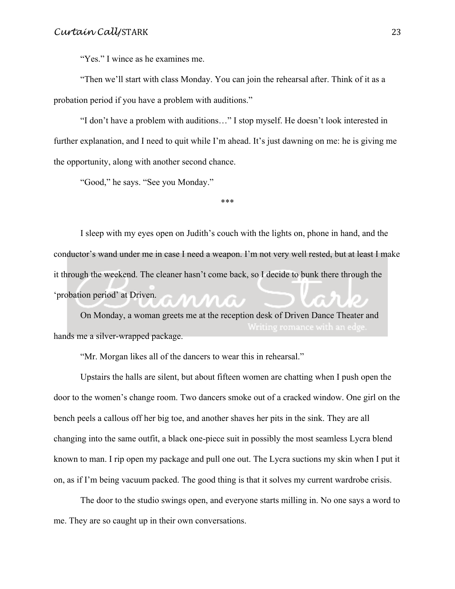"Yes." I wince as he examines me.

"Then we'll start with class Monday. You can join the rehearsal after. Think of it as a probation period if you have a problem with auditions."

"I don't have a problem with auditions…" I stop myself. He doesn't look interested in further explanation, and I need to quit while I'm ahead. It's just dawning on me: he is giving me the opportunity, along with another second chance.

"Good," he says. "See you Monday."

\*\*\*

I sleep with my eyes open on Judith's couch with the lights on, phone in hand, and the conductor's wand under me in case I need a weapon. I'm not very well rested, but at least I make it through the weekend. The cleaner hasn't come back, so I decide to bunk there through the 'probation period' at Driven.

On Monday, a woman greets me at the reception desk of Driven Dance Theater and hands me a silver-wrapped package.

"Mr. Morgan likes all of the dancers to wear this in rehearsal."

Upstairs the halls are silent, but about fifteen women are chatting when I push open the door to the women's change room. Two dancers smoke out of a cracked window. One girl on the bench peels a callous off her big toe, and another shaves her pits in the sink. They are all changing into the same outfit, a black one-piece suit in possibly the most seamless Lycra blend known to man. I rip open my package and pull one out. The Lycra suctions my skin when I put it on, as if I'm being vacuum packed. The good thing is that it solves my current wardrobe crisis.

The door to the studio swings open, and everyone starts milling in. No one says a word to me. They are so caught up in their own conversations.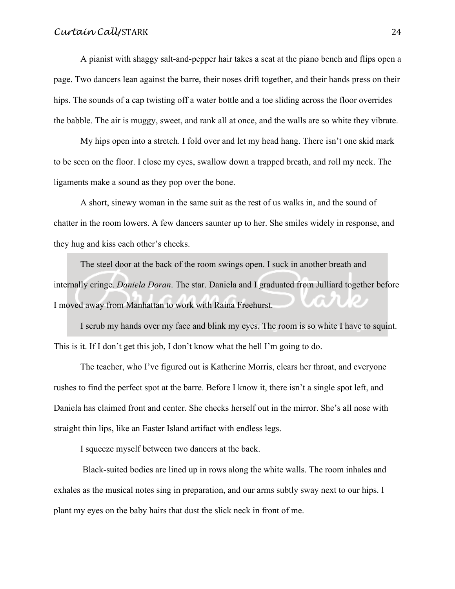A pianist with shaggy salt-and-pepper hair takes a seat at the piano bench and flips open a page. Two dancers lean against the barre, their noses drift together, and their hands press on their hips. The sounds of a cap twisting off a water bottle and a toe sliding across the floor overrides the babble. The air is muggy, sweet, and rank all at once, and the walls are so white they vibrate.

My hips open into a stretch. I fold over and let my head hang. There isn't one skid mark to be seen on the floor. I close my eyes, swallow down a trapped breath, and roll my neck. The ligaments make a sound as they pop over the bone.

A short, sinewy woman in the same suit as the rest of us walks in, and the sound of chatter in the room lowers. A few dancers saunter up to her. She smiles widely in response, and they hug and kiss each other's cheeks.

The steel door at the back of the room swings open. I suck in another breath and internally cringe. *Daniela Doran*. The star. Daniela and I graduated from Julliard together before I moved away from Manhattan to work with Raina Freehurst.

I scrub my hands over my face and blink my eyes. The room is so white I have to squint. This is it. If I don't get this job, I don't know what the hell I'm going to do.

The teacher, who I've figured out is Katherine Morris, clears her throat, and everyone rushes to find the perfect spot at the barre*.* Before I know it, there isn't a single spot left, and Daniela has claimed front and center. She checks herself out in the mirror. She's all nose with straight thin lips, like an Easter Island artifact with endless legs.

I squeeze myself between two dancers at the back.

Black-suited bodies are lined up in rows along the white walls. The room inhales and exhales as the musical notes sing in preparation, and our arms subtly sway next to our hips. I plant my eyes on the baby hairs that dust the slick neck in front of me.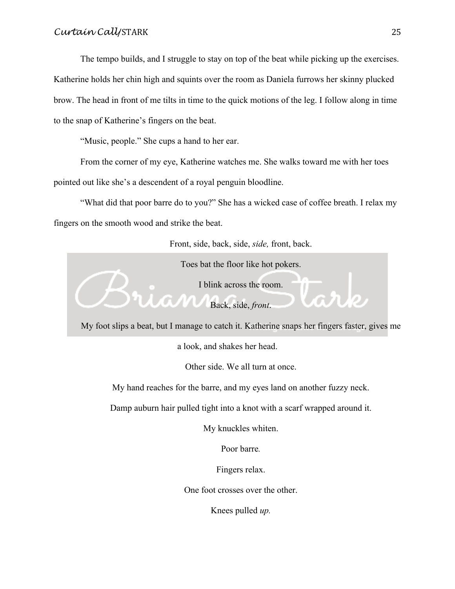The tempo builds, and I struggle to stay on top of the beat while picking up the exercises. Katherine holds her chin high and squints over the room as Daniela furrows her skinny plucked brow. The head in front of me tilts in time to the quick motions of the leg. I follow along in time to the snap of Katherine's fingers on the beat.

"Music, people." She cups a hand to her ear.

From the corner of my eye, Katherine watches me. She walks toward me with her toes pointed out like she's a descendent of a royal penguin bloodline.

"What did that poor barre do to you?" She has a wicked case of coffee breath. I relax my fingers on the smooth wood and strike the beat.

Front, side, back, side, *side,* front, back.

Toes bat the floor like hot pokers.

I blink across the room.

Back, side, *front*.

My foot slips a beat, but I manage to catch it. Katherine snaps her fingers faster, gives me

a look, and shakes her head.

Other side. We all turn at once.

My hand reaches for the barre, and my eyes land on another fuzzy neck.

Damp auburn hair pulled tight into a knot with a scarf wrapped around it.

My knuckles whiten.

Poor barre*.*

Fingers relax.

One foot crosses over the other.

Knees pulled *up.*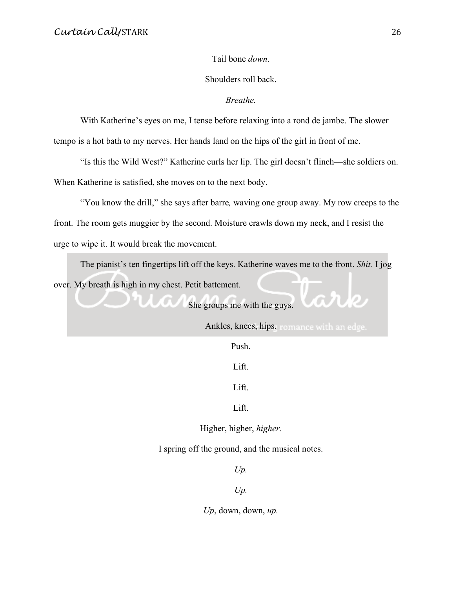Tail bone *down*.

Shoulders roll back.

*Breathe.*

With Katherine's eyes on me, I tense before relaxing into a rond de jambe. The slower tempo is a hot bath to my nerves. Her hands land on the hips of the girl in front of me.

"Is this the Wild West?" Katherine curls her lip. The girl doesn't flinch—she soldiers on. When Katherine is satisfied, she moves on to the next body.

"You know the drill," she says after barre*,* waving one group away. My row creeps to the front. The room gets muggier by the second. Moisture crawls down my neck, and I resist the urge to wipe it. It would break the movement.

The pianist's ten fingertips lift off the keys. Katherine waves me to the front. *Shit.* I jog over. My breath is high in my chest. Petit battement.

She groups me with the guys.

Ankles, knees, hips. romance with an edge.

שגת

Push.

Lift.

Lift.

Lift.

Higher, higher, *higher.*

I spring off the ground, and the musical notes.

*Up.*

*Up.*

*Up*, down, down, *up.*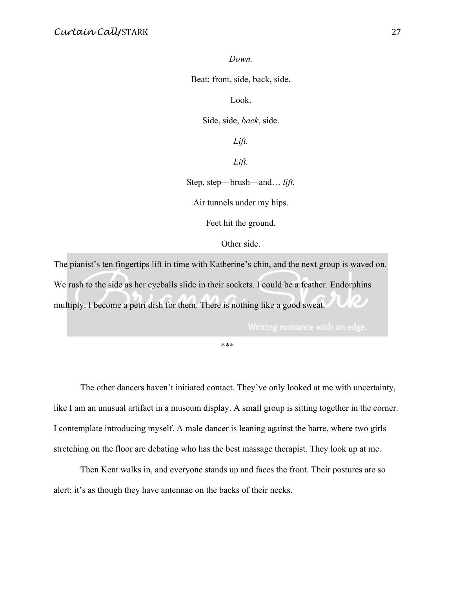*Down.*

Beat: front, side, back, side.

Look.

Side, side, *back*, side.

*Lift.*

*Lift.*

Step, step—brush—and… *lift.*

Air tunnels under my hips.

Feet hit the ground.

Other side.

The pianist's ten fingertips lift in time with Katherine's chin, and the next group is waved on. We rush to the side as her eyeballs slide in their sockets. I could be a feather. Endorphins multiply. I become a petri dish for them. There is nothing like a good sweat.

\*\*\*

The other dancers haven't initiated contact. They've only looked at me with uncertainty, like I am an unusual artifact in a museum display. A small group is sitting together in the corner. I contemplate introducing myself. A male dancer is leaning against the barre, where two girls stretching on the floor are debating who has the best massage therapist. They look up at me.

Then Kent walks in, and everyone stands up and faces the front. Their postures are so alert; it's as though they have antennae on the backs of their necks.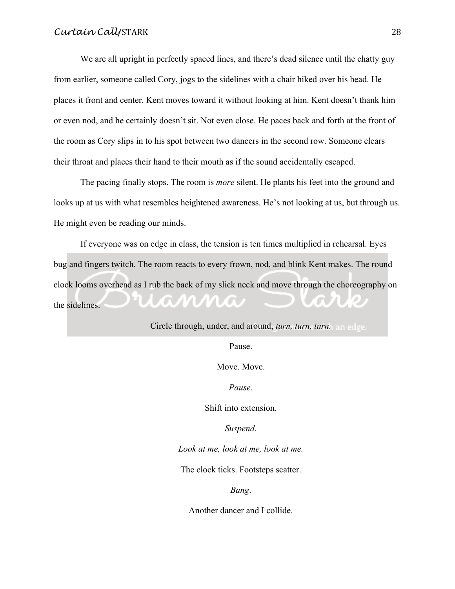We are all upright in perfectly spaced lines, and there's dead silence until the chatty guy from earlier, someone called Cory, jogs to the sidelines with a chair hiked over his head. He places it front and center. Kent moves toward it without looking at him. Kent doesn't thank him or even nod, and he certainly doesn't sit. Not even close. He paces back and forth at the front of the room as Cory slips in to his spot between two dancers in the second row. Someone clears their throat and places their hand to their mouth as if the sound accidentally escaped.

The pacing finally stops. The room is *more* silent. He plants his feet into the ground and looks up at us with what resembles heightened awareness. He's not looking at us, but through us. He might even be reading our minds.

If everyone was on edge in class, the tension is ten times multiplied in rehearsal. Eyes bug and fingers twitch. The room reacts to every frown, nod, and blink Kent makes. The round clock looms overhead as I rub the back of my slick neck and move through the choreography on n. the sidelines.

Circle through, under, and around, *turn, turn, turn.*

Pause.

Move. Move.

*Pause.*

Shift into extension.

*Suspend.*

*Look at me, look at me, look at me.*

The clock ticks. Footsteps scatter.

*Bang*.

Another dancer and I collide.